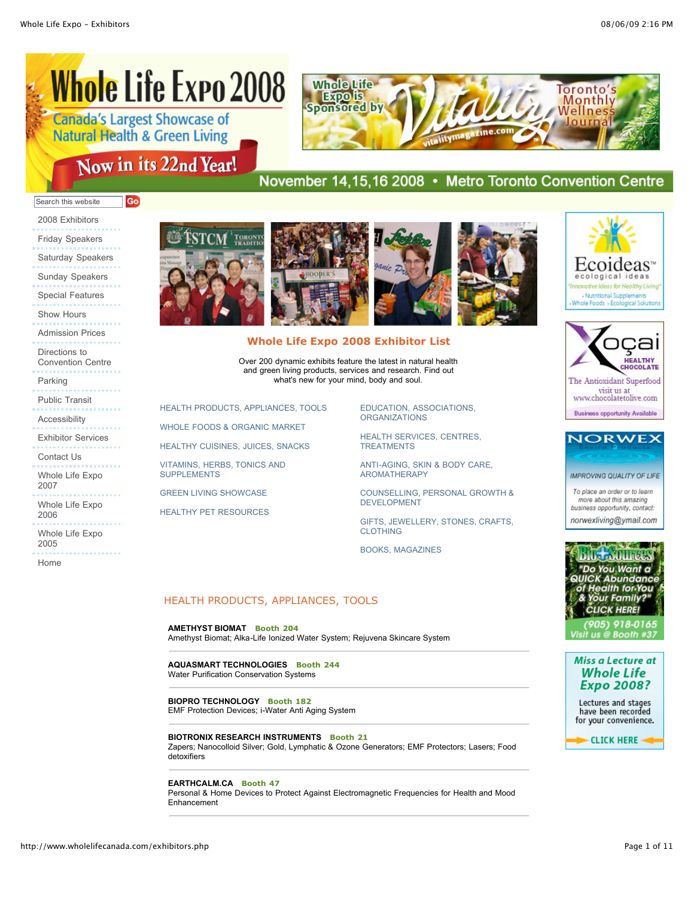# **Whole Life Expo 2008**

Now in its 22nd Year!

| <b>Canada's Largest Showcase of</b>      |  |
|------------------------------------------|--|
| <b>Natural Health &amp; Green Living</b> |  |

Go



# November 14,15,16 2008 • Metro Toronto Convention Centre

## Search this website

2008 Exhibitors Friday Speakers Saturday Speakers Sunday Speakers Special Features Show Hours Admission Prices Directions to Convention Centre Parking

Public Transit

Accessibility

Exhibitor Services

Contact Us

Whole Life Expo 2007

Whole Life Expo 2006

Whole Life Expo 2005

Home



SUPPLEMENTS

[GREEN LIVING SHOWCASE](http://www.wholelifecanada.com/exhibitors.php#15) [HEALTHY PET RESOURCES](http://www.wholelifecanada.com/exhibitors.php#16)





## **Whole Life Expo 2008 Exhibitor List**

Over 200 dynamic exhibits feature the latest in natural health and green living products, services and research. Find out what's new for your mind, body and soul.

> [EDUCATION, ASSOCIATIONS,](http://www.wholelifecanada.com/exhibitors.php#17) **ORGANIZATIONS**

[HEALTH SERVICES, CENTRES,](http://www.wholelifecanada.com/exhibitors.php#18) **TREATMENTS** 

[ANTI-AGING, SKIN & BODY CARE,](http://www.wholelifecanada.com/exhibitors.php#19) AROMATHERAPY

[COUNSELLING, PERSONAL GROWTH &](http://www.wholelifecanada.com/exhibitors.php#20) DEVELOPMENT

[GIFTS, JEWELLERY, STONES, CRAFTS,](http://www.wholelifecanada.com/exhibitors.php#21) **CLOTHING** 

[BOOKS, MAGAZINES](http://www.wholelifecanada.com/exhibitors.php#22)

## HEALTH PRODUCTS, APPLIANCES, TOOLS

#### **AMETHYST BIOMAT Booth 204**

[HEALTH PRODUCTS, APPLIANCES, TOOLS](http://www.wholelifecanada.com/exhibitors.php#11) [WHOLE FOODS & ORGANIC MARKET](http://www.wholelifecanada.com/exhibitors.php#12) [HEALTHY CUISINES, JUICES, SNACKS](http://www.wholelifecanada.com/exhibitors.php#13) [VITAMINS, HERBS, TONICS AND](http://www.wholelifecanada.com/exhibitors.php#14)

Amethyst Biomat; Alka-Life Ionized Water System; Rejuvena Skincare System

#### **AQUASMART TECHNOLOGIES Booth 244** Water Purification Conservation Systems

**BIOPRO TECHNOLOGY Booth 182**

EMF Protection Devices; i-Water Anti Aging System

#### **BIOTRONIX RESEARCH INSTRUMENTS Booth 21**

Zapers; Nanocolloid Silver; Gold, Lymphatic & Ozone Generators; EMF Protectors; Lasers; Food detoxifiers

## **EARTHCALM.CA Booth 47**

Personal & Home Devices to Protect Against Electromagnetic Frequencies for Health and Mood Enhancement







**IMPROVING QUALITY OF LIFE** 

To place an order or to learn more about this amazing business opportunity, contact: norwexliving@ymail.com



905) 918-0165



Lectures and stages have been recorded for your convenience.

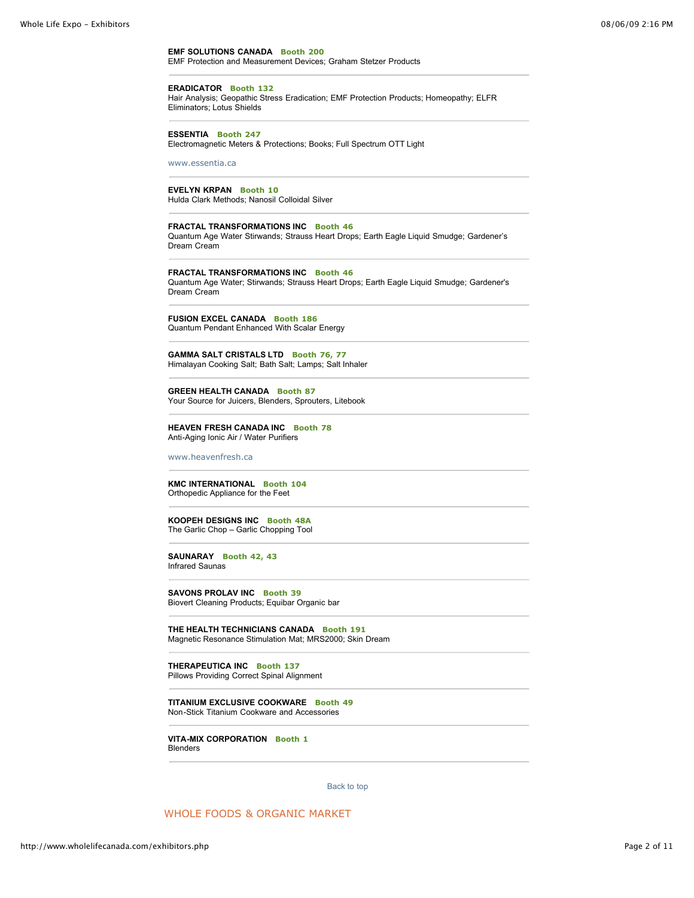**EMF SOLUTIONS CANADA Booth 200** EMF Protection and Measurement Devices; Graham Stetzer Products

## **ERADICATOR Booth 132**

Hair Analysis; Geopathic Stress Eradication; EMF Protection Products; Homeopathy; ELFR Eliminators; Lotus Shields

## **ESSENTIA Booth 247**

Electromagnetic Meters & Protections; Books; Full Spectrum OTT Light

[www.essentia.ca](http://www.essentia.ca/)

## **EVELYN KRPAN Booth 10**

Hulda Clark Methods; Nanosil Colloidal Silver

#### **FRACTAL TRANSFORMATIONS INC Booth 46**

Quantum Age Water Stirwands; Strauss Heart Drops; Earth Eagle Liquid Smudge; Gardener's Dream Cream

**FRACTAL TRANSFORMATIONS INC Booth 46** Quantum Age Water; Stirwands; Strauss Heart Drops; Earth Eagle Liquid Smudge; Gardener's Dream Cream

**FUSION EXCEL CANADA Booth 186** Quantum Pendant Enhanced With Scalar Energy

**GAMMA SALT CRISTALS LTD Booth 76, 77** Himalayan Cooking Salt; Bath Salt; Lamps; Salt Inhaler

**GREEN HEALTH CANADA Booth 87** Your Source for Juicers, Blenders, Sprouters, Litebook

**HEAVEN FRESH CANADA INC Booth 78** Anti-Aging Ionic Air / Water Purifiers

[www.heavenfresh.ca](http://www.heavenfresh.ca/)

**KMC INTERNATIONAL Booth 104** Orthopedic Appliance for the Feet

**KOOPEH DESIGNS INC Booth 48A** The Garlic Chop – Garlic Chopping Tool

**SAUNARAY Booth 42, 43** Infrared Saunas

**SAVONS PROLAV INC Booth 39** Biovert Cleaning Products; Equibar Organic bar

**THE HEALTH TECHNICIANS CANADA Booth 191** Magnetic Resonance Stimulation Mat; MRS2000; Skin Dream

# **THERAPEUTICA INC Booth 137**

Pillows Providing Correct Spinal Alignment

**TITANIUM EXCLUSIVE COOKWARE Booth 49** Non-Stick Titanium Cookware and Accessories

**VITA-MIX CORPORATION Booth 1** Blenders

[Back to top](http://www.wholelifecanada.com/exhibitors.php#top) 

WHOLE FOODS & ORGANIC MARKET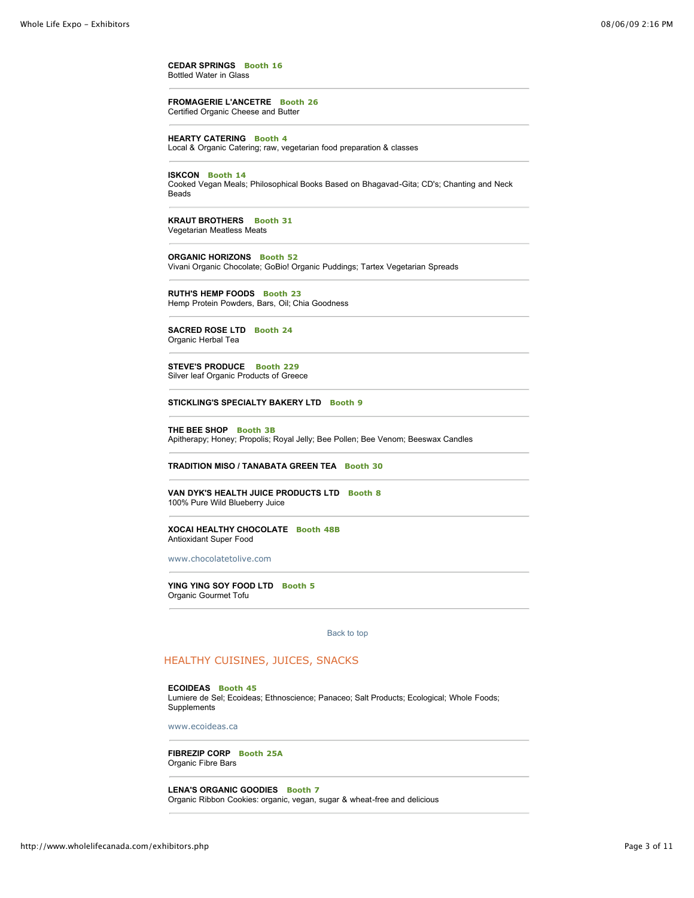**CEDAR SPRINGS Booth 16** Bottled Water in Glass

**FROMAGERIE L'ANCETRE Booth 26** Certified Organic Cheese and Butter

**HEARTY CATERING Booth 4** Local & Organic Catering; raw, vegetarian food preparation & classes

## **ISKCON Booth 14**

Cooked Vegan Meals; Philosophical Books Based on Bhagavad-Gita; CD's; Chanting and Neck Beads

**KRAUT BROTHERS Booth 31** Vegetarian Meatless Meats

**ORGANIC HORIZONS Booth 52**

Vivani Organic Chocolate; GoBio! Organic Puddings; Tartex Vegetarian Spreads

**RUTH'S HEMP FOODS Booth 23** Hemp Protein Powders, Bars, Oil; Chia Goodness

**SACRED ROSE LTD Booth 24**

Organic Herbal Tea

**STEVE'S PRODUCE Booth 229** Silver leaf Organic Products of Greece

**STICKLING'S SPECIALTY BAKERY LTD Booth 9**

**THE BEE SHOP Booth 3B** Apitherapy; Honey; Propolis; Royal Jelly; Bee Pollen; Bee Venom; Beeswax Candles

**TRADITION MISO / TANABATA GREEN TEA Booth 30**

#### **VAN DYK'S HEALTH JUICE PRODUCTS LTD Booth 8** 100% Pure Wild Blueberry Juice

**XOCAI HEALTHY CHOCOLATE Booth 48B** Antioxidant Super Food

[www.chocolatetolive.com](http://www.chocolatetolive.com/)

**YING YING SOY FOOD LTD Booth 5** Organic Gourmet Tofu

[Back to top](http://www.wholelifecanada.com/exhibitors.php#top) 

## HEALTHY CUISINES, JUICES, SNACKS

#### **ECOIDEAS Booth 45**

Lumiere de Sel; Ecoideas; Ethnoscience; Panaceo; Salt Products; Ecological; Whole Foods; **Supplements** 

[www.ecoideas.ca](http://www.ecoideas.ca/)

**FIBREZIP CORP Booth 25A** Organic Fibre Bars

**LENA'S ORGANIC GOODIES Booth 7** Organic Ribbon Cookies: organic, vegan, sugar & wheat-free and delicious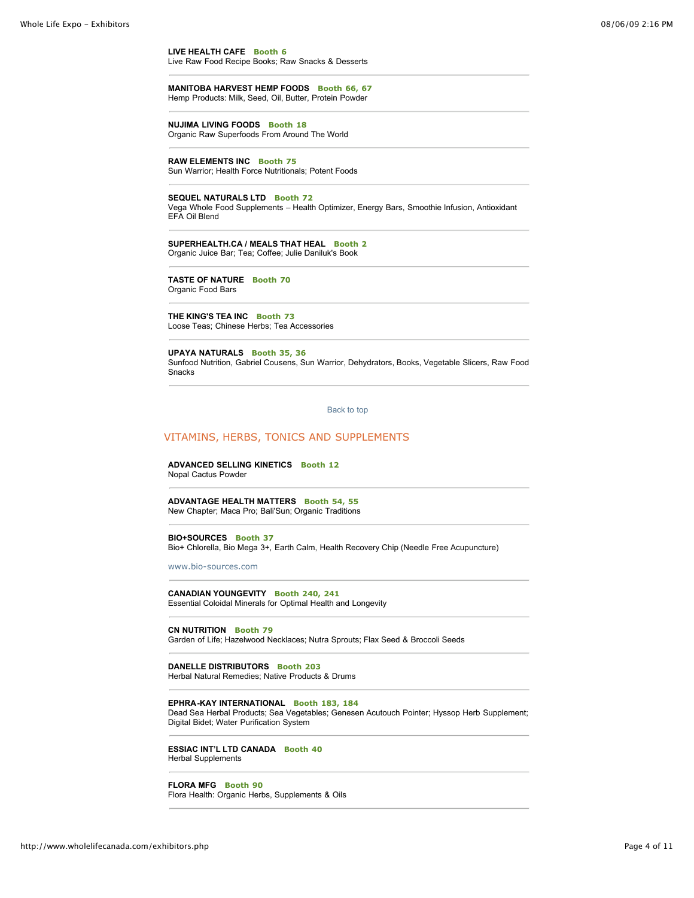**LIVE HEALTH CAFE Booth 6** Live Raw Food Recipe Books; Raw Snacks & Desserts

**MANITOBA HARVEST HEMP FOODS Booth 66, 67** Hemp Products: Milk, Seed, Oil, Butter, Protein Powder

**NUJIMA LIVING FOODS Booth 18** Organic Raw Superfoods From Around The World

**RAW ELEMENTS INC Booth 75**

Sun Warrior; Health Force Nutritionals; Potent Foods

**SEQUEL NATURALS LTD Booth 72**

Vega Whole Food Supplements – Health Optimizer, Energy Bars, Smoothie Infusion, Antioxidant EFA Oil Blend

**SUPERHEALTH.CA / MEALS THAT HEAL Booth 2** Organic Juice Bar; Tea; Coffee; Julie Daniluk's Book

**TASTE OF NATURE Booth 70** Organic Food Bars

**THE KING'S TEA INC Booth 73** Loose Teas; Chinese Herbs; Tea Accessories

**UPAYA NATURALS Booth 35, 36** Sunfood Nutrition, Gabriel Cousens, Sun Warrior, Dehydrators, Books, Vegetable Slicers, Raw Food Snacks

[Back to top](http://www.wholelifecanada.com/exhibitors.php#top) 

## VITAMINS, HERBS, TONICS AND SUPPLEMENTS

**ADVANCED SELLING KINETICS Booth 12** Nopal Cactus Powder

**ADVANTAGE HEALTH MATTERS Booth 54, 55** New Chapter; Maca Pro; Bali'Sun; Organic Traditions

## **BIO+SOURCES Booth 37**

Bio+ Chlorella, Bio Mega 3+, Earth Calm, Health Recovery Chip (Needle Free Acupuncture)

[www.bio-sources.com](http://www.bio-sources.com/)

**CANADIAN YOUNGEVITY Booth 240, 241** Essential Coloidal Minerals for Optimal Health and Longevity

**CN NUTRITION Booth 79**

Garden of Life; Hazelwood Necklaces; Nutra Sprouts; Flax Seed & Broccoli Seeds

## **DANELLE DISTRIBUTORS Booth 203**

Herbal Natural Remedies; Native Products & Drums

## **EPHRA-KAY INTERNATIONAL Booth 183, 184**

Dead Sea Herbal Products; Sea Vegetables; Genesen Acutouch Pointer; Hyssop Herb Supplement; Digital Bidet; Water Purification System

**ESSIAC INT'L LTD CANADA Booth 40** Herbal Supplements

#### **FLORA MFG Booth 90**

Flora Health: Organic Herbs, Supplements & Oils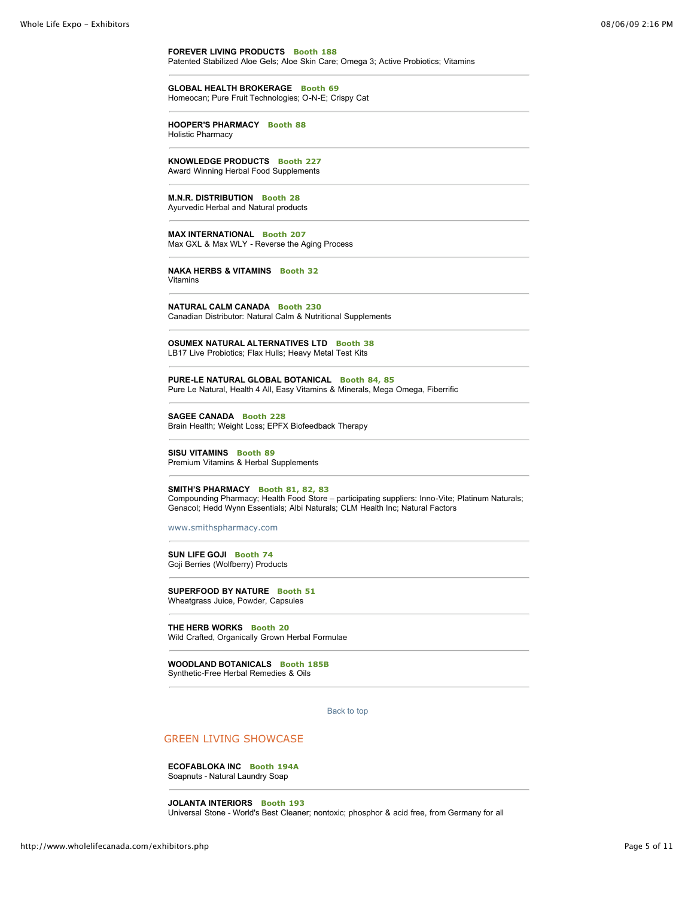**FOREVER LIVING PRODUCTS Booth 188** Patented Stabilized Aloe Gels; Aloe Skin Care; Omega 3; Active Probiotics; Vitamins

**GLOBAL HEALTH BROKERAGE Booth 69** Homeocan; Pure Fruit Technologies; O-N-E; Crispy Cat

**HOOPER'S PHARMACY Booth 88** Holistic Pharmacy

**KNOWLEDGE PRODUCTS Booth 227** Award Winning Herbal Food Supplements

**M.N.R. DISTRIBUTION Booth 28** Ayurvedic Herbal and Natural products

**MAX INTERNATIONAL Booth 207** Max GXL & Max WLY - Reverse the Aging Process

**NAKA HERBS & VITAMINS Booth 32** Vitamins

**NATURAL CALM CANADA Booth 230** Canadian Distributor: Natural Calm & Nutritional Supplements

**OSUMEX NATURAL ALTERNATIVES LTD Booth 38** LB17 Live Probiotics; Flax Hulls; Heavy Metal Test Kits

**PURE-LE NATURAL GLOBAL BOTANICAL Booth 84, 85** Pure Le Natural, Health 4 All, Easy Vitamins & Minerals, Mega Omega, Fiberrific

**SAGEE CANADA Booth 228** Brain Health; Weight Loss; EPFX Biofeedback Therapy

**SISU VITAMINS Booth 89** Premium Vitamins & Herbal Supplements

# **SMITH'S PHARMACY Booth 81, 82, 83**

Compounding Pharmacy; Health Food Store – participating suppliers: Inno-Vite; Platinum Naturals; Genacol; Hedd Wynn Essentials; Albi Naturals; CLM Health Inc; Natural Factors

[www.smithspharmacy.com](http://www.smithspharmacy.com/)

**SUN LIFE GOJI Booth 74** Goji Berries (Wolfberry) Products

**SUPERFOOD BY NATURE Booth 51** Wheatgrass Juice, Powder, Capsules

**THE HERB WORKS Booth 20** Wild Crafted, Organically Grown Herbal Formulae

**WOODLAND BOTANICALS Booth 185B** Synthetic-Free Herbal Remedies & Oils

[Back to top](http://www.wholelifecanada.com/exhibitors.php#top) 

## GREEN LIVING SHOWCASE

**ECOFABLOKA INC Booth 194A** Soapnuts - Natural Laundry Soap

**JOLANTA INTERIORS Booth 193** Universal Stone - World's Best Cleaner; nontoxic; phosphor & acid free, from Germany for all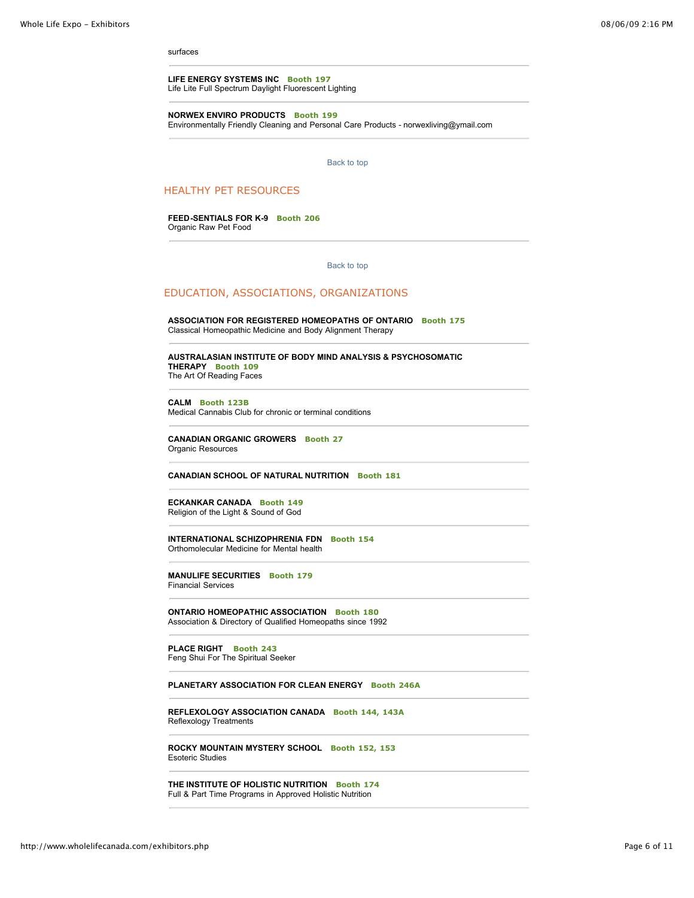surfaces

**LIFE ENERGY SYSTEMS INC Booth 197** Life Lite Full Spectrum Daylight Fluorescent Lighting

**NORWEX ENVIRO PRODUCTS Booth 199**

Environmentally Friendly Cleaning and Personal Care Products - norwexliving@ymail.com

[Back to top](http://www.wholelifecanada.com/exhibitors.php#top) 

## HEALTHY PET RESOURCES

**FEED-SENTIALS FOR K-9 Booth 206** Organic Raw Pet Food

[Back to top](http://www.wholelifecanada.com/exhibitors.php#top) 

## EDUCATION, ASSOCIATIONS, ORGANIZATIONS

**ASSOCIATION FOR REGISTERED HOMEOPATHS OF ONTARIO Booth 175** Classical Homeopathic Medicine and Body Alignment Therapy

**AUSTRALASIAN INSTITUTE OF BODY MIND ANALYSIS & PSYCHOSOMATIC THERAPY Booth 109**

The Art Of Reading Faces

**CALM Booth 123B**

Medical Cannabis Club for chronic or terminal conditions

**CANADIAN ORGANIC GROWERS Booth 27** Organic Resources

**CANADIAN SCHOOL OF NATURAL NUTRITION Booth 181**

**ECKANKAR CANADA Booth 149** Religion of the Light & Sound of God

**INTERNATIONAL SCHIZOPHRENIA FDN Booth 154** Orthomolecular Medicine for Mental health

**MANULIFE SECURITIES Booth 179** Financial Services

**ONTARIO HOMEOPATHIC ASSOCIATION Booth 180** Association & Directory of Qualified Homeopaths since 1992

**PLACE RIGHT Booth 243** Feng Shui For The Spiritual Seeker

**PLANETARY ASSOCIATION FOR CLEAN ENERGY Booth 246A**

**REFLEXOLOGY ASSOCIATION CANADA Booth 144, 143A** Reflexology Treatments

**ROCKY MOUNTAIN MYSTERY SCHOOL Booth 152, 153** Esoteric Studies

**THE INSTITUTE OF HOLISTIC NUTRITION Booth 174** Full & Part Time Programs in Approved Holistic Nutrition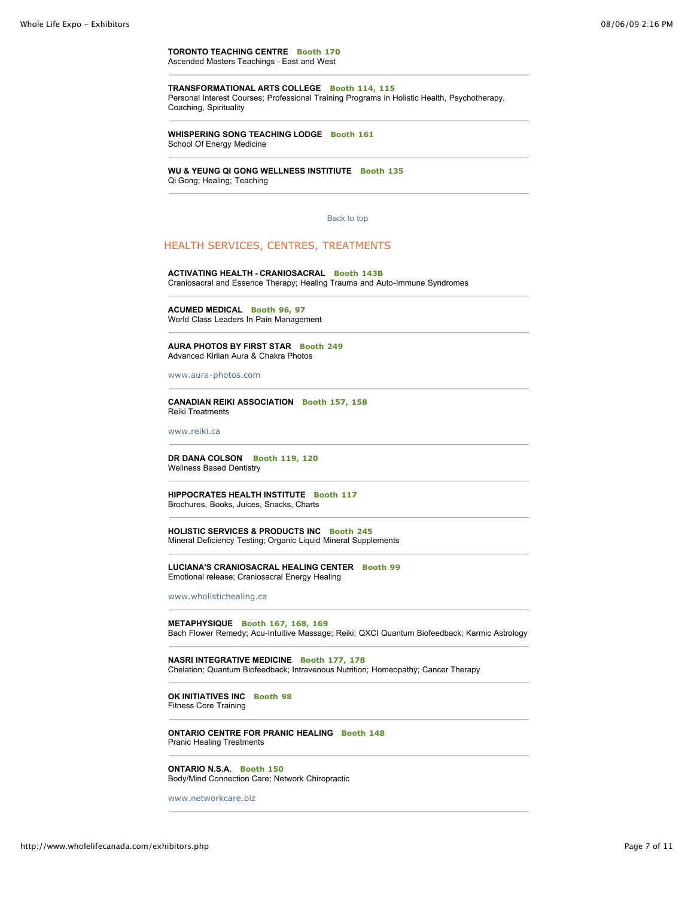**TORONTO TEACHING CENTRE Booth 170** Ascended Masters Teachings - East and West

## **TRANSFORMATIONAL ARTS COLLEGE Booth 114, 115**

Personal Interest Courses; Professional Training Programs in Holistic Health, Psychotherapy, Coaching, Spirituality

**WHISPERING SONG TEACHING LODGE Booth 161** School Of Energy Medicine

#### **WU & YEUNG QI GONG WELLNESS INSTITIUTE Booth 135** Qi Gong; Healing; Teaching

[Back to top](http://www.wholelifecanada.com/exhibitors.php#top) 

## HEALTH SERVICES, CENTRES, TREATMENTS

## **ACTIVATING HEALTH - CRANIOSACRAL Booth 143B**

Craniosacral and Essence Therapy; Healing Trauma and Auto-Immune Syndromes

**ACUMED MEDICAL Booth 96, 97** World Class Leaders In Pain Management

**AURA PHOTOS BY FIRST STAR Booth 249** Advanced Kirlian Aura & Chakra Photos

[www.aura-photos.com](http://www.aura-photos.com/)

**CANADIAN REIKI ASSOCIATION Booth 157, 158** Reiki Treatments

[www.reiki.ca](http://www.reiki.ca/)

**DR DANA COLSON Booth 119, 120** Wellness Based Dentistry

**HIPPOCRATES HEALTH INSTITUTE Booth 117** Brochures, Books, Juices, Snacks, Charts

**HOLISTIC SERVICES & PRODUCTS INC Booth 245** Mineral Deficiency Testing; Organic Liquid Mineral Supplements

**LUCIANA'S CRANIOSACRAL HEALING CENTER Booth 99** Emotional release; Craniosacral Energy Healing

[www.wholistichealing.ca](http://www.wholistichealing.ca/)

**METAPHYSIQUE Booth 167, 168, 169** Bach Flower Remedy; Acu-Intuitive Massage; Reiki; QXCI Quantum Biofeedback; Karmic Astrology

**NASRI INTEGRATIVE MEDICINE Booth 177, 178** Chelation; Quantum Biofeedback; Intravenous Nutrition; Homeopathy; Cancer Therapy

**OK INITIATIVES INC Booth 98** Fitness Core Training

**ONTARIO CENTRE FOR PRANIC HEALING Booth 148** Pranic Healing Treatments

**ONTARIO N.S.A. Booth 150** Body/Mind Connection Care; Network Chiropractic

[www.networkcare.biz](http://www.networkcare.biz/)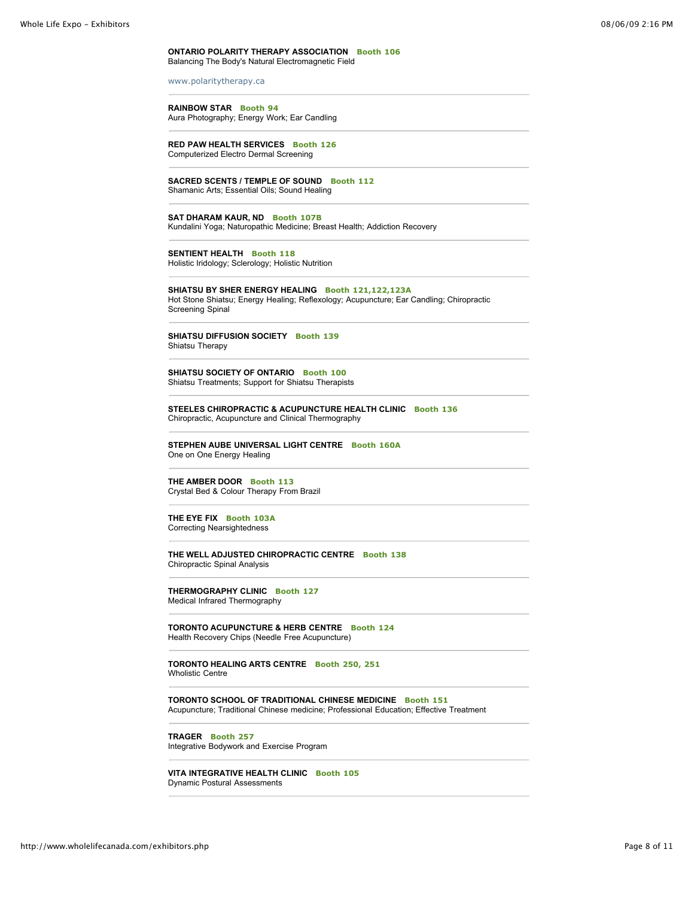#### **ONTARIO POLARITY THERAPY ASSOCIATION Booth 106** Balancing The Body's Natural Electromagnetic Field

[www.polaritytherapy.ca](http://www.polaritytherapy.ca/)

#### **RAINBOW STAR Booth 94**

Aura Photography; Energy Work; Ear Candling

**RED PAW HEALTH SERVICES Booth 126** Computerized Electro Dermal Screening

## **SACRED SCENTS / TEMPLE OF SOUND Booth 112**

Shamanic Arts; Essential Oils; Sound Healing

## **SAT DHARAM KAUR, ND Booth 107B**

Kundalini Yoga; Naturopathic Medicine; Breast Health; Addiction Recovery

## **SENTIENT HEALTH Booth 118**

Holistic Iridology; Sclerology; Holistic Nutrition

**SHIATSU BY SHER ENERGY HEALING Booth 121,122,123A** Hot Stone Shiatsu; Energy Healing; Reflexology; Acupuncture; Ear Candling; Chiropractic Screening Spinal

## **SHIATSU DIFFUSION SOCIETY Booth 139** Shiatsu Therapy

**SHIATSU SOCIETY OF ONTARIO Booth 100** Shiatsu Treatments; Support for Shiatsu Therapists

**STEELES CHIROPRACTIC & ACUPUNCTURE HEALTH CLINIC Booth 136** Chiropractic, Acupuncture and Clinical Thermography

**STEPHEN AUBE UNIVERSAL LIGHT CENTRE Booth 160A** One on One Energy Healing

## **THE AMBER DOOR Booth 113**

Crystal Bed & Colour Therapy From Brazil

## **THE EYE FIX Booth 103A** Correcting Nearsightedness

**THE WELL ADJUSTED CHIROPRACTIC CENTRE Booth 138** Chiropractic Spinal Analysis

**THERMOGRAPHY CLINIC Booth 127** Medical Infrared Thermography

**TORONTO ACUPUNCTURE & HERB CENTRE Booth 124** Health Recovery Chips (Needle Free Acupuncture)

**TORONTO HEALING ARTS CENTRE Booth 250, 251** Wholistic Centre

**TORONTO SCHOOL OF TRADITIONAL CHINESE MEDICINE Booth 151** Acupuncture; Traditional Chinese medicine; Professional Education; Effective Treatment

**TRAGER Booth 257** Integrative Bodywork and Exercise Program

**VITA INTEGRATIVE HEALTH CLINIC Booth 105** Dynamic Postural Assessments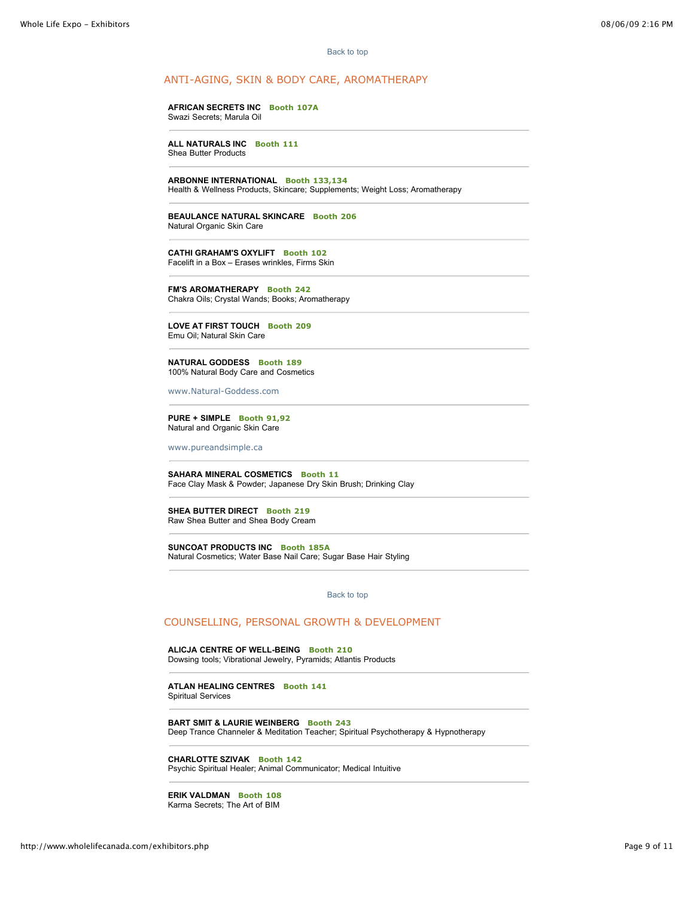[Back to top](http://www.wholelifecanada.com/exhibitors.php#top) 

## ANTI-AGING, SKIN & BODY CARE, AROMATHERAPY

#### **AFRICAN SECRETS INC Booth 107A** Swazi Secrets; Marula Oil

**ALL NATURALS INC Booth 111** Shea Butter Products

**ARBONNE INTERNATIONAL Booth 133,134**

Health & Wellness Products, Skincare; Supplements; Weight Loss; Aromatherapy

**BEAULANCE NATURAL SKINCARE Booth 206** Natural Organic Skin Care

**CATHI GRAHAM'S OXYLIFT Booth 102** Facelift in a Box – Erases wrinkles, Firms Skin

**FM'S AROMATHERAPY Booth 242** Chakra Oils; Crystal Wands; Books; Aromatherapy

**LOVE AT FIRST TOUCH Booth 209** Emu Oil; Natural Skin Care

**NATURAL GODDESS Booth 189** 100% Natural Body Care and Cosmetics

[www.Natural-Goddess.com](http://www.Natural-Goddess.com/)

**PURE + SIMPLE Booth 91,92** Natural and Organic Skin Care

[www.pureandsimple.ca](http://www.pureandsimple.ca/)

**SAHARA MINERAL COSMETICS Booth 11** Face Clay Mask & Powder; Japanese Dry Skin Brush; Drinking Clay

**SHEA BUTTER DIRECT Booth 219** Raw Shea Butter and Shea Body Cream

**SUNCOAT PRODUCTS INC Booth 185A** Natural Cosmetics; Water Base Nail Care; Sugar Base Hair Styling

[Back to top](http://www.wholelifecanada.com/exhibitors.php#top) 

## COUNSELLING, PERSONAL GROWTH & DEVELOPMENT

**ALICJA CENTRE OF WELL-BEING Booth 210** Dowsing tools; Vibrational Jewelry, Pyramids; Atlantis Products

**ATLAN HEALING CENTRES Booth 141** Spiritual Services

**BART SMIT & LAURIE WEINBERG Booth 243** Deep Trance Channeler & Meditation Teacher; Spiritual Psychotherapy & Hypnotherapy

**CHARLOTTE SZIVAK Booth 142** Psychic Spiritual Healer; Animal Communicator; Medical Intuitive

**ERIK VALDMAN Booth 108** Karma Secrets; The Art of BIM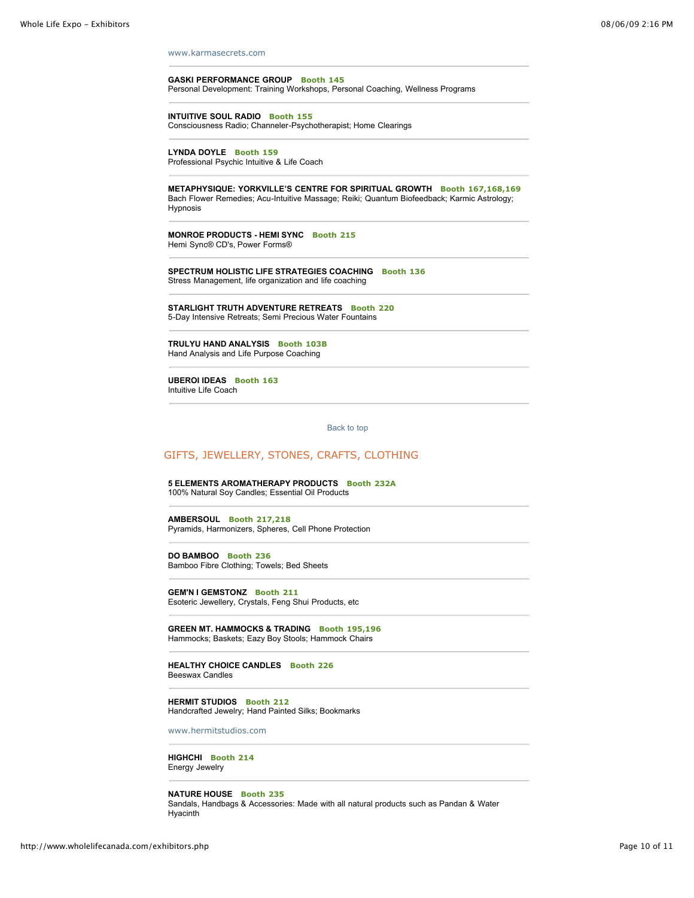[www.karmasecrets.com](http://www.karmasecrets.com/)

**GASKI PERFORMANCE GROUP Booth 145** Personal Development: Training Workshops, Personal Coaching, Wellness Programs

**INTUITIVE SOUL RADIO Booth 155** Consciousness Radio; Channeler-Psychotherapist; Home Clearings

**LYNDA DOYLE Booth 159** Professional Psychic Intuitive & Life Coach

**METAPHYSIQUE: YORKVILLE'S CENTRE FOR SPIRITUAL GROWTH Booth 167,168,169** Bach Flower Remedies; Acu-Intuitive Massage; Reiki; Quantum Biofeedback; Karmic Astrology; Hypnosis

**MONROE PRODUCTS - HEMI SYNC Booth 215** Hemi Sync® CD's, Power Forms®

**SPECTRUM HOLISTIC LIFE STRATEGIES COACHING Booth 136** Stress Management, life organization and life coaching

**STARLIGHT TRUTH ADVENTURE RETREATS Booth 220** 5-Day Intensive Retreats; Semi Precious Water Fountains

**TRULYU HAND ANALYSIS Booth 103B** Hand Analysis and Life Purpose Coaching

**UBEROI IDEAS Booth 163** Intuitive Life Coach

[Back to top](http://www.wholelifecanada.com/exhibitors.php#top) 

# GIFTS, JEWELLERY, STONES, CRAFTS, CLOTHING

**5 ELEMENTS AROMATHERAPY PRODUCTS Booth 232A** 100% Natural Soy Candles; Essential Oil Products

**AMBERSOUL Booth 217,218** Pyramids, Harmonizers, Spheres, Cell Phone Protection

**DO BAMBOO Booth 236** Bamboo Fibre Clothing; Towels; Bed Sheets

**GEM'N I GEMSTONZ Booth 211** Esoteric Jewellery, Crystals, Feng Shui Products, etc

**GREEN MT. HAMMOCKS & TRADING Booth 195,196** Hammocks; Baskets; Eazy Boy Stools; Hammock Chairs

**HEALTHY CHOICE CANDLES Booth 226** Beeswax Candles

**HERMIT STUDIOS Booth 212** Handcrafted Jewelry; Hand Painted Silks; Bookmarks

[www.hermitstudios.com](http://www.hermitstudios.com/)

**HIGHCHI Booth 214** Energy Jewelry

**NATURE HOUSE Booth 235**

Sandals, Handbags & Accessories: Made with all natural products such as Pandan & Water Hyacinth